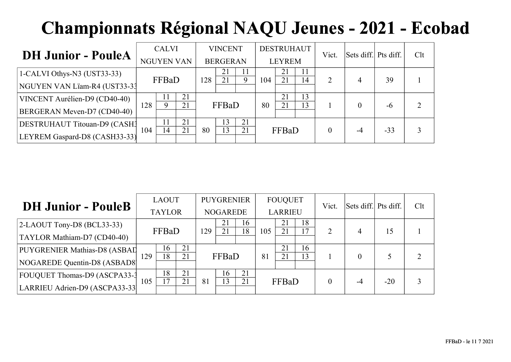| <b>DH Junior - PouleA</b>     |     | <b>CALVI</b>      |          |     | <b>VINCENT</b>  |         |     | <b>DESTRUHAUT</b> |    | Vict.    | Sets diff. Pts diff. |                   | Clt |
|-------------------------------|-----|-------------------|----------|-----|-----------------|---------|-----|-------------------|----|----------|----------------------|-------------------|-----|
|                               |     | <b>NGUYEN VAN</b> |          |     | <b>BERGERAN</b> |         |     | <b>LEYREM</b>     |    |          |                      |                   |     |
| 1-CALVI Othys-N3 (UST33-33)   |     |                   |          |     | 21              | 11<br>9 |     | 21                |    |          |                      |                   |     |
| NGUYEN VAN Lïam-R4 (UST33-31  |     | FFBaD             |          | 128 | 21              |         | 104 | 21                | 14 | 2        | 4                    |                   |     |
| VINCENT Aurélien-D9 (CD40-40) |     | 9                 | 21       |     |                 |         |     | 13<br>21          |    |          |                      |                   |     |
| BERGERAN Meven-D7 (CD40-40)   | 128 |                   | 21       |     | FFBaD           |         | 80  | 21                | 13 |          | $\theta$             |                   |     |
| DESTRUHAUT Titouan-D9 (CASH1  |     |                   | 21<br>21 |     | 13              | 21      |     |                   |    |          |                      |                   |     |
| LEYREM Gaspard-D8 (CASH33-33) | 104 | 14                |          | 80  | 13              | 21      |     | FFBaD             |    | $\theta$ | -4                   | 39<br>-6<br>$-33$ |     |

| <b>DH Junior - PouleB</b>      |               | <b>LAOUT</b> |    |     | <b>PUYGRENIER</b> |          |     | <b>FOUQUET</b> |          | Vict.                 | Sets diff. Pts diff. |       | Clt |
|--------------------------------|---------------|--------------|----|-----|-------------------|----------|-----|----------------|----------|-----------------------|----------------------|-------|-----|
|                                | <b>TAYLOR</b> |              |    |     | <b>NOGAREDE</b>   |          |     | <b>LARRIEU</b> |          |                       |                      |       |     |
| $ 2$ -LAOUT Tony-D8 (BCL33-33) |               |              |    |     | 21<br>21          | 16<br>18 |     | 21<br>21       | 18<br>17 | $\mathcal{D}_{\cdot}$ | $\overline{4}$       | 15    |     |
| TAYLOR Mathiam-D7 (CD40-40)    |               | FFBaD        |    | 129 |                   |          | 105 |                |          |                       |                      |       |     |
| PUYGRENIER Mathias-D8 (ASBAI   |               | 16           | 21 |     |                   |          |     | 21             | 16       |                       |                      |       |     |
| NOGAREDE Quentin-D8 (ASBAD8    | <b>29</b>     | 18           | 21 |     | FFBaD             |          | 81  | 21             | 13       |                       |                      |       |     |
| FOUQUET Thomas-D9 (ASCPA33-3   |               | 18           | 21 |     | 16                | 21       |     |                |          |                       |                      |       |     |
| LARRIEU Adrien-D9 (ASCPA33-33  | 105           | 17           | 21 | 81  | 3                 | 21       |     | FFBaD          |          | 0                     |                      | $-20$ |     |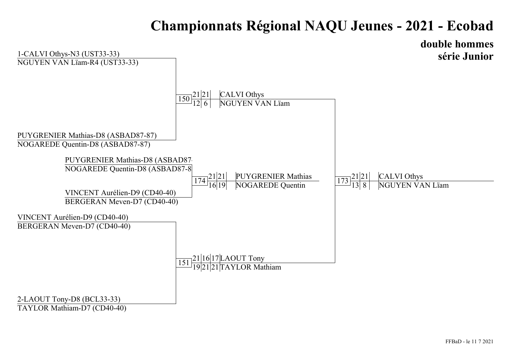

TAYLOR Mathiam-D7 (CD40-40)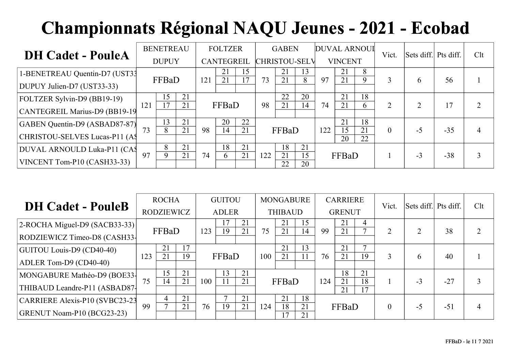| <b>DH Cadet - PouleA</b>       |              | <b>BENETREAU</b> |     | <b>FOLTZER</b>    |          |       |     | <b>GABEN</b>         |          | <b>DUVAL ARNOUI</b> |                | Vict.    | Sets diff. Pts diff. |      | Clt   |  |
|--------------------------------|--------------|------------------|-----|-------------------|----------|-------|-----|----------------------|----------|---------------------|----------------|----------|----------------------|------|-------|--|
|                                | <b>DUPUY</b> |                  |     | <b>CANTEGREIL</b> |          |       |     | <b>CHRISTOU-SELV</b> |          |                     | <b>VINCENT</b> |          |                      |      |       |  |
| 1-BENETREAU Quentin-D7 (UST33  |              |                  |     |                   | 21<br>15 |       |     | 21                   | 13       |                     | 21             | 8        |                      | 6    | 56    |  |
| DUPUY Julien-D7 (UST33-33)     |              | FFBaD            | 121 | 21                | 17       | 73    | 21  | 8                    | 97       | 21                  | 9              | 3        |                      |      |       |  |
| FOLTZER Sylvin-D9 (BB19-19)    |              | 5<br>17          | 21  |                   |          |       | 98  | 22                   | 20       |                     | 21             | 18       |                      |      |       |  |
| CANTEGREIL Marius-D9 (BB19-19) | 121          |                  | 21  |                   |          | FFBaD |     | 21                   | 14       | 74                  | 21             | 6        | 2                    |      | 17    |  |
| GABEN Quentin-D9 (ASBAD87-87)  |              | 13               | 21  |                   | 20       | 22    |     |                      |          |                     | 21             | 18       |                      |      |       |  |
| CHRISTOU-SELVES Lucas-P11 (AS  | 73           | 8                | 21  | 98                | 14       | 21    |     | FFBaD                |          | 122                 | 15<br>20       | 21<br>22 | $\theta$             | $-5$ | $-35$ |  |
| DUVAL ARNOULD Luka-P11 (CAS    |              | 8                | 21  |                   | 18       | 21    |     | 18                   | 21       |                     |                |          |                      |      |       |  |
| VINCENT Tom-P10 (CASH33-33)    | 97           |                  | 21  | 74                | $\sigma$ | 21    | 122 | 21<br>22             | 15<br>20 |                     | FFBaD          |          |                      | $-3$ | $-38$ |  |

| <b>DH Cadet - PouleB</b>          |                   | <b>ROCHA</b> |              | <b>GUITOU</b> |          |    | <b>MONGABURE</b> |          | <b>CARRIERE</b> |       |          | Vict.    | Sets diff. Pts diff. |              | Clt   |  |
|-----------------------------------|-------------------|--------------|--------------|---------------|----------|----|------------------|----------|-----------------|-------|----------|----------|----------------------|--------------|-------|--|
|                                   | <b>RODZIEWICZ</b> |              | <b>ADLER</b> |               |          |    | <b>THIBAUD</b>   |          | <b>GRENUT</b>   |       |          |          |                      |              |       |  |
| $ 2$ -ROCHA Miguel-D9 (SACB33-33) |                   |              |              | 123           | 21       |    |                  | 21       | 15              |       | 21       | 4        |                      |              |       |  |
| RODZIEWICZ Timeo-D8 (CASH33-      |                   | FFBaD        |              |               | 19       | 21 | 75               | 21       | 14              | 99    | 21       |          | $\overline{2}$       |              | 38    |  |
| GUITOU Louis-D9 (CD40-40)         |                   | 21           | 17           |               |          |    |                  | 21       | 13              |       | 21       |          |                      |              | 40    |  |
| ADLER Tom-D9 (CD40-40)            | 21<br>19<br>123   |              |              | FFBaD         |          |    | 100              | 21       | $\mathbf{1}$    | 76    | 21       | 19       | 3                    | <sub>b</sub> |       |  |
| MONGABURE Mathéo-D9 (BOE33-       |                   | 15           | 21           |               | 13       | 21 |                  |          |                 |       | 18       | 21       |                      |              |       |  |
| THIBAUD Leandre-P11 (ASBAD87-     | 75                | 14           | 21           | 100           |          | 21 |                  | FFBaD    |                 | 124   | 21<br>21 | 18<br>17 |                      | $-3$         | $-27$ |  |
| CARRIERE Alexis-P10 (SVBC23-23)   |                   | 4            | 21           |               |          | 21 |                  | 21       | 18              |       |          |          |                      |              |       |  |
| GRENUT Noam-P10 (BCG23-23)        | 99                |              | 21           | 76            | 21<br>19 |    | 124              | 18<br>17 | 21<br>21        | FFBaD |          |          | $\mathbf{0}$         | $-5$         | $-51$ |  |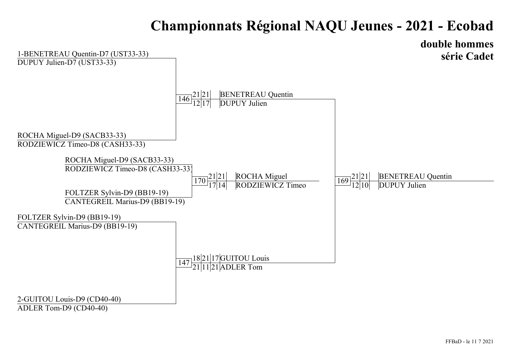

FFBaD - le 11 7 2021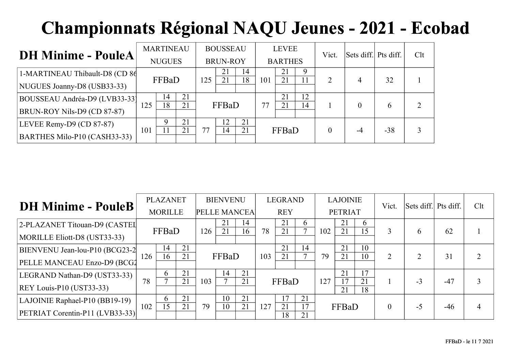| <b>DH Minime - PouleA</b>      |     | <b>MARTINEAU</b> |          |     | <b>BOUSSEAU</b> |    |     | <b>LEVEE</b>   |                 | Vict. | Sets diff. Pts diff. |              | Clt          |
|--------------------------------|-----|------------------|----------|-----|-----------------|----|-----|----------------|-----------------|-------|----------------------|--------------|--------------|
|                                |     | <b>NUGUES</b>    |          |     | <b>BRUN-ROY</b> |    |     | <b>BARTHES</b> |                 |       |                      |              |              |
| 1-MARTINEAU Thibault-D8 (CD 86 |     |                  |          | 21  |                 | 14 |     | 21             | 9               |       |                      |              |              |
| NUGUES Joanny-D8 (USB33-33)    |     | FFBaD            |          | 125 | 21              | 18 | 101 | 21             | 11              |       | $\overline{4}$       | 32           |              |
| BOUSSEAU Andréa-D9 (LVB33-33)  |     | 14               | 21       |     |                 |    |     | 21             | 12              |       |                      |              |              |
| BRUN-ROY Nils-D9 (CD 87-87)    | 125 | 18               | 21       |     | FFBaD           |    | 77  | 21             | $\overline{14}$ |       | $\theta$             | <sub>b</sub> |              |
| LEVEE Remy-D9 $(CD 87-87)$     |     | Q                | 21<br>21 |     | 12              | 21 |     |                |                 |       |                      |              |              |
| BARTHES Milo-P10 (CASH33-33)   |     | 101<br>11        |          | 77  | 14              | 21 |     | FFBaD          |                 | 0     |                      | $-38$        | $\mathbf{R}$ |

| <b>DH Minime - PouleB</b>       |                | <b>PLAZANET</b> |                     | <b>BIENVENU</b> |          |            |     | <b>LEGRAND</b> |                      | <b>LAJOINIE</b> |          |          | Vict.          | Sets diff. Pts diff. |       | Clt |
|---------------------------------|----------------|-----------------|---------------------|-----------------|----------|------------|-----|----------------|----------------------|-----------------|----------|----------|----------------|----------------------|-------|-----|
|                                 | <b>MORILLE</b> |                 | <b>PELLE MANCEA</b> |                 |          | <b>REY</b> |     |                |                      | <b>PETRIAT</b>  |          |          |                |                      |       |     |
| 2-PLAZANET Titouan-D9 (CASTEL   |                |                 |                     | 126             | 21<br>14 |            |     | 21             | $\sigma$             |                 | 21       | 6        |                |                      |       |     |
| MORILLE Eliott-D8 (UST33-33)    |                | FFBaD           |                     |                 | 21       | 16         | 78  | 21             |                      | 102             | 21       | 15       | 3              | h.                   | 62    |     |
| BIENVENU Jean-lou-P10 (BCG23-2  |                | 14              | 21                  |                 |          |            |     | 21             | 14<br>$\overline{ }$ |                 | 21       | 10       |                |                      | 31    |     |
| PELLE MANCEAU Enzo-D9 (BCG2     | 126            | 16              | 21                  | FFBaD           |          |            | 103 | 21             |                      | 79              | 21       | 10       | $\overline{2}$ |                      |       |     |
| LEGRAND Nathan-D9 (UST33-33)    |                | 6               | 21                  |                 | 14       | 21         |     |                |                      |                 | 21       | 17       |                |                      |       |     |
| $REY$ Louis-P10 (UST33-33)      | 78             |                 | 21                  | 103             |          | 21         |     | FFBaD          |                      | 127             | 17<br>21 | 21<br>18 |                | $-3$                 | $-47$ |     |
| LAJOINIE Raphael-P10 (BB19-19)  |                | 6               | 21                  |                 | 10       | 21         |     | 17             | 21                   |                 |          |          |                |                      |       |     |
| PETRIAT Corentin-P11 (LVB33-33) | 102            | 15              | 21                  | 79              | 10       | 21         | 127 | 21<br>18       | 17<br>21             |                 | FFBaD    |          | $\theta$       | $-5$                 | $-46$ | 4   |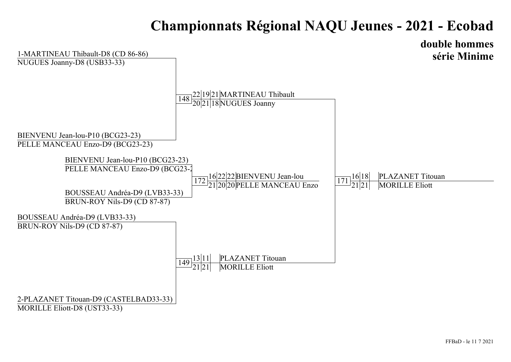